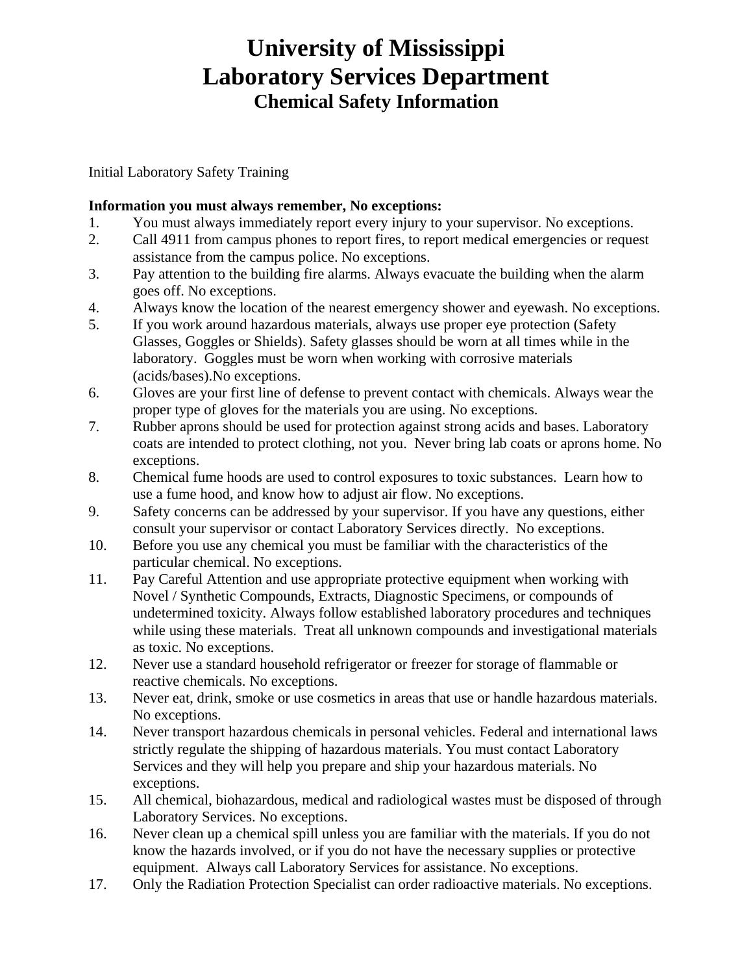Initial Laboratory Safety Training

### **Information you must always remember, No exceptions:**

- 1. You must always immediately report every injury to your supervisor. No exceptions.
- 2. Call 4911 from campus phones to report fires, to report medical emergencies or request assistance from the campus police. No exceptions.
- 3. Pay attention to the building fire alarms. Always evacuate the building when the alarm goes off. No exceptions.
- 4. Always know the location of the nearest emergency shower and eyewash. No exceptions.
- 5. If you work around hazardous materials, always use proper eye protection (Safety Glasses, Goggles or Shields). Safety glasses should be worn at all times while in the laboratory. Goggles must be worn when working with corrosive materials (acids/bases).No exceptions.
- 6. Gloves are your first line of defense to prevent contact with chemicals. Always wear the proper type of gloves for the materials you are using. No exceptions.
- 7. Rubber aprons should be used for protection against strong acids and bases. Laboratory coats are intended to protect clothing, not you. Never bring lab coats or aprons home. No exceptions.
- 8. Chemical fume hoods are used to control exposures to toxic substances. Learn how to use a fume hood, and know how to adjust air flow. No exceptions.
- 9. Safety concerns can be addressed by your supervisor. If you have any questions, either consult your supervisor or contact Laboratory Services directly. No exceptions.
- 10. Before you use any chemical you must be familiar with the characteristics of the particular chemical. No exceptions.
- 11. Pay Careful Attention and use appropriate protective equipment when working with Novel / Synthetic Compounds, Extracts, Diagnostic Specimens, or compounds of undetermined toxicity. Always follow established laboratory procedures and techniques while using these materials. Treat all unknown compounds and investigational materials as toxic. No exceptions.
- 12. Never use a standard household refrigerator or freezer for storage of flammable or reactive chemicals. No exceptions.
- 13. Never eat, drink, smoke or use cosmetics in areas that use or handle hazardous materials. No exceptions.
- 14. Never transport hazardous chemicals in personal vehicles. Federal and international laws strictly regulate the shipping of hazardous materials. You must contact Laboratory Services and they will help you prepare and ship your hazardous materials. No exceptions.
- 15. All chemical, biohazardous, medical and radiological wastes must be disposed of through Laboratory Services. No exceptions.
- 16. Never clean up a chemical spill unless you are familiar with the materials. If you do not know the hazards involved, or if you do not have the necessary supplies or protective equipment. Always call Laboratory Services for assistance. No exceptions.
- 17. Only the Radiation Protection Specialist can order radioactive materials. No exceptions.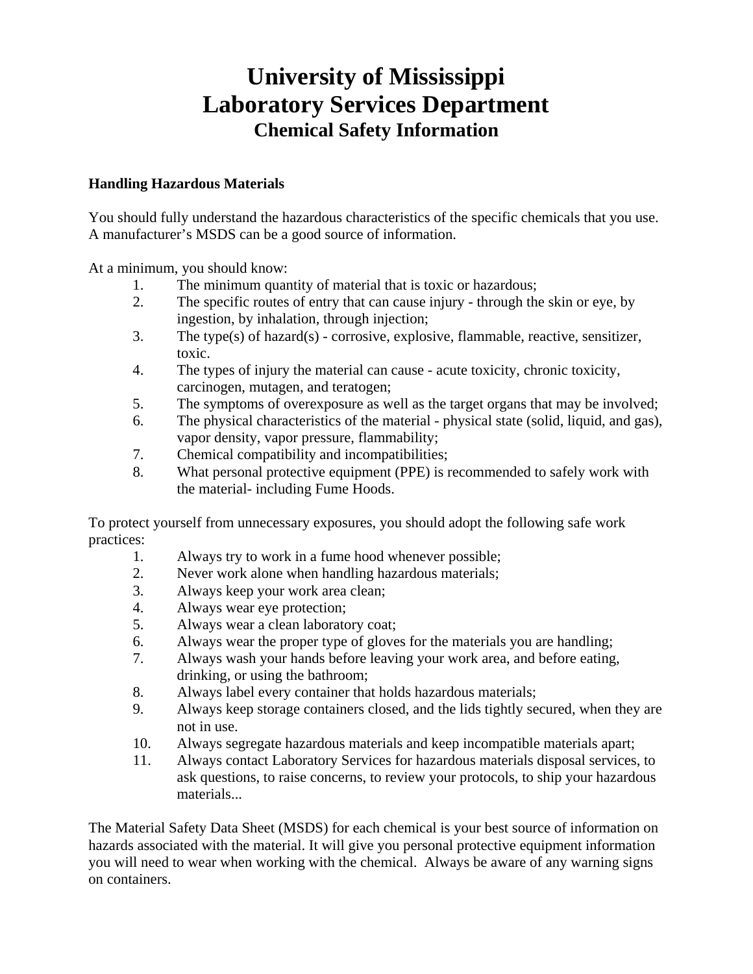#### **Handling Hazardous Materials**

You should fully understand the hazardous characteristics of the specific chemicals that you use. A manufacturer's MSDS can be a good source of information.

At a minimum, you should know:

- 1. The minimum quantity of material that is toxic or hazardous;
- 2. The specific routes of entry that can cause injury through the skin or eye, by ingestion, by inhalation, through injection;
- 3. The type(s) of hazard(s) corrosive, explosive, flammable, reactive, sensitizer, toxic.
- 4. The types of injury the material can cause acute toxicity, chronic toxicity, carcinogen, mutagen, and teratogen;
- 5. The symptoms of overexposure as well as the target organs that may be involved;
- 6. The physical characteristics of the material physical state (solid, liquid, and gas), vapor density, vapor pressure, flammability;
- 7. Chemical compatibility and incompatibilities;
- 8. What personal protective equipment (PPE) is recommended to safely work with the material- including Fume Hoods.

To protect yourself from unnecessary exposures, you should adopt the following safe work practices:

- 1. Always try to work in a fume hood whenever possible;
- 2. Never work alone when handling hazardous materials;
- 3. Always keep your work area clean;
- 4. Always wear eye protection;
- 5. Always wear a clean laboratory coat;
- 6. Always wear the proper type of gloves for the materials you are handling;
- 7. Always wash your hands before leaving your work area, and before eating, drinking, or using the bathroom;
- 8. Always label every container that holds hazardous materials;
- 9. Always keep storage containers closed, and the lids tightly secured, when they are not in use.
- 10. Always segregate hazardous materials and keep incompatible materials apart;
- 11. Always contact Laboratory Services for hazardous materials disposal services, to ask questions, to raise concerns, to review your protocols, to ship your hazardous materials...

The Material Safety Data Sheet (MSDS) for each chemical is your best source of information on hazards associated with the material. It will give you personal protective equipment information you will need to wear when working with the chemical. Always be aware of any warning signs on containers.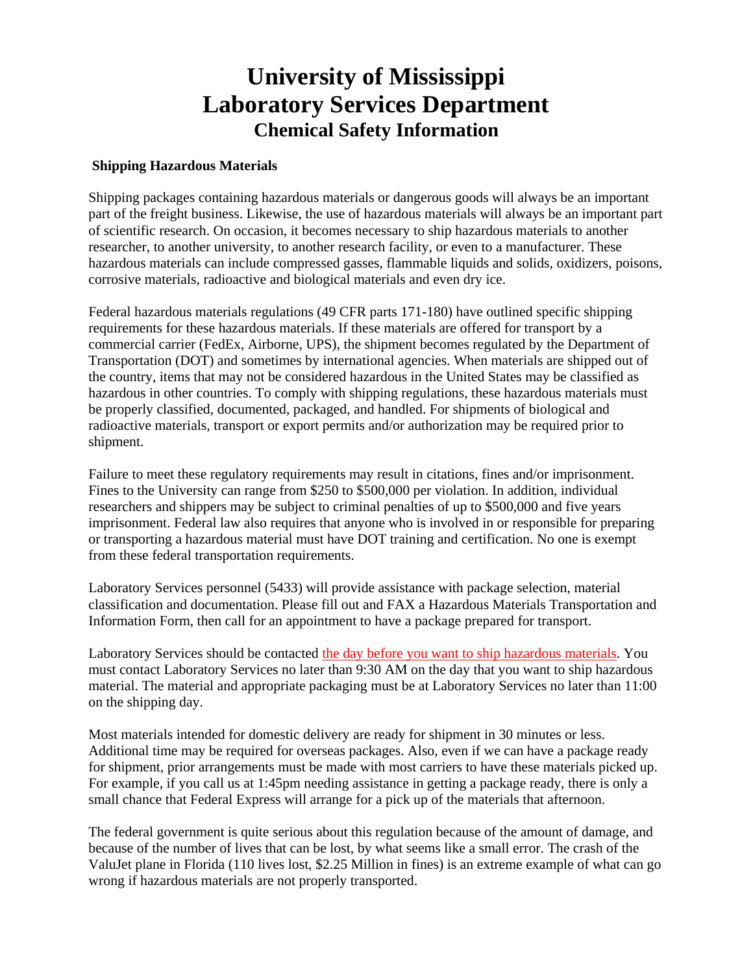#### **Shipping Hazardous Materials**

Shipping packages containing hazardous materials or dangerous goods will always be an important part of the freight business. Likewise, the use of hazardous materials will always be an important part of scientific research. On occasion, it becomes necessary to ship hazardous materials to another researcher, to another university, to another research facility, or even to a manufacturer. These hazardous materials can include compressed gasses, flammable liquids and solids, oxidizers, poisons, corrosive materials, radioactive and biological materials and even dry ice.

Federal hazardous materials regulations (49 CFR parts 171-180) have outlined specific shipping requirements for these hazardous materials. If these materials are offered for transport by a commercial carrier (FedEx, Airborne, UPS), the shipment becomes regulated by the Department of Transportation (DOT) and sometimes by international agencies. When materials are shipped out of the country, items that may not be considered hazardous in the United States may be classified as hazardous in other countries. To comply with shipping regulations, these hazardous materials must be properly classified, documented, packaged, and handled. For shipments of biological and radioactive materials, transport or export permits and/or authorization may be required prior to shipment.

Failure to meet these regulatory requirements may result in citations, fines and/or imprisonment. Fines to the University can range from \$250 to \$500,000 per violation. In addition, individual researchers and shippers may be subject to criminal penalties of up to \$500,000 and five years imprisonment. Federal law also requires that anyone who is involved in or responsible for preparing or transporting a hazardous material must have DOT training and certification. No one is exempt from these federal transportation requirements.

Laboratory Services personnel (5433) will provide assistance with package selection, material classification and documentation. Please fill out and FAX a Hazardous Materials Transportation and Information Form, then call for an appointment to have a package prepared for transport.

Laboratory Services should be contacted the day before you want to ship hazardous materials. You must contact Laboratory Services no later than 9:30 AM on the day that you want to ship hazardous material. The material and appropriate packaging must be at Laboratory Services no later than 11:00 on the shipping day.

Most materials intended for domestic delivery are ready for shipment in 30 minutes or less. Additional time may be required for overseas packages. Also, even if we can have a package ready for shipment, prior arrangements must be made with most carriers to have these materials picked up. For example, if you call us at 1:45pm needing assistance in getting a package ready, there is only a small chance that Federal Express will arrange for a pick up of the materials that afternoon.

The federal government is quite serious about this regulation because of the amount of damage, and because of the number of lives that can be lost, by what seems like a small error. The crash of the ValuJet plane in Florida (110 lives lost, \$2.25 Million in fines) is an extreme example of what can go wrong if hazardous materials are not properly transported.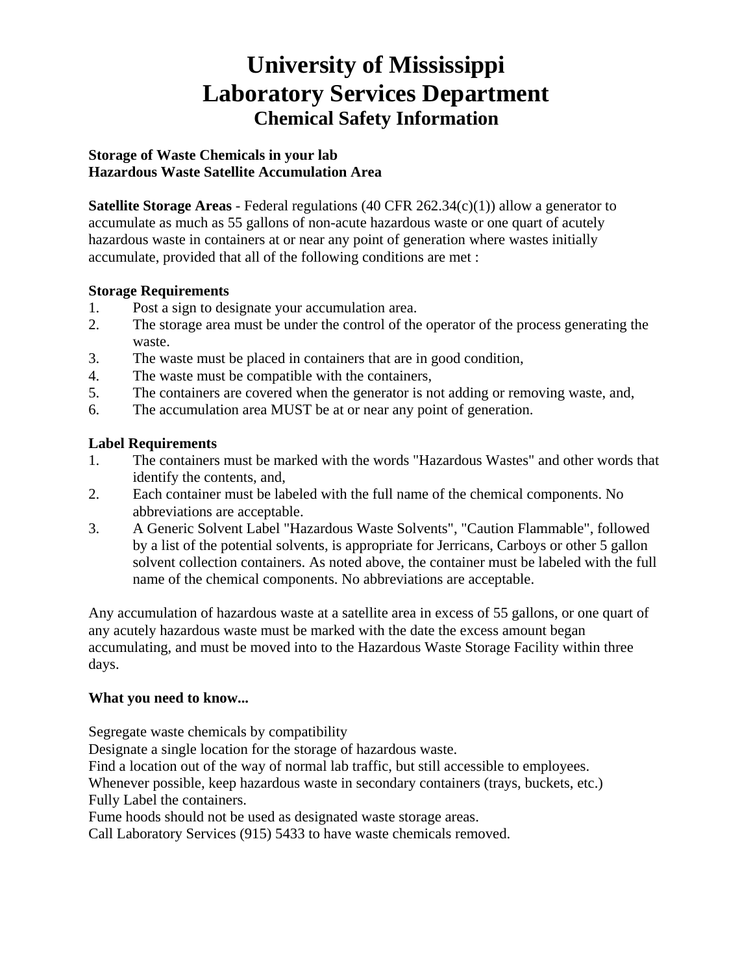#### **Storage of Waste Chemicals in your lab Hazardous Waste Satellite Accumulation Area**

**Satellite Storage Areas** - Federal regulations (40 CFR 262.34(c)(1)) allow a generator to accumulate as much as 55 gallons of non-acute hazardous waste or one quart of acutely hazardous waste in containers at or near any point of generation where wastes initially accumulate, provided that all of the following conditions are met :

### **Storage Requirements**

- 1. Post a sign to designate your accumulation area.
- 2. The storage area must be under the control of the operator of the process generating the waste.
- 3. The waste must be placed in containers that are in good condition,
- 4. The waste must be compatible with the containers,
- 5. The containers are covered when the generator is not adding or removing waste, and,
- 6. The accumulation area MUST be at or near any point of generation.

### **Label Requirements**

- 1. The containers must be marked with the words "Hazardous Wastes" and other words that identify the contents, and,
- 2. Each container must be labeled with the full name of the chemical components. No abbreviations are acceptable.
- 3. A Generic Solvent Label "Hazardous Waste Solvents", "Caution Flammable", followed by a list of the potential solvents, is appropriate for Jerricans, Carboys or other 5 gallon solvent collection containers. As noted above, the container must be labeled with the full name of the chemical components. No abbreviations are acceptable.

Any accumulation of hazardous waste at a satellite area in excess of 55 gallons, or one quart of any acutely hazardous waste must be marked with the date the excess amount began accumulating, and must be moved into to the Hazardous Waste Storage Facility within three days.

#### **What you need to know...**

Segregate waste chemicals by compatibility

Designate a single location for the storage of hazardous waste.

Find a location out of the way of normal lab traffic, but still accessible to employees.

Whenever possible, keep hazardous waste in secondary containers (trays, buckets, etc.) Fully Label the containers.

Fume hoods should not be used as designated waste storage areas.

Call Laboratory Services (915) 5433 to have waste chemicals removed.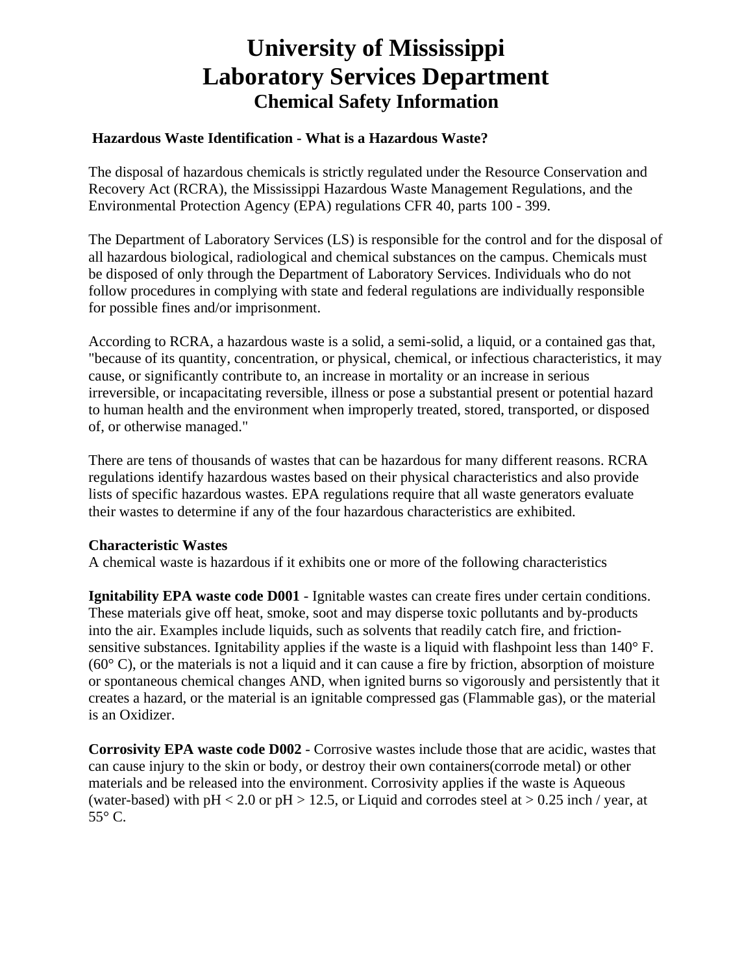#### **Hazardous Waste Identification - What is a Hazardous Waste?**

The disposal of hazardous chemicals is strictly regulated under the Resource Conservation and Recovery Act (RCRA), the Mississippi Hazardous Waste Management Regulations, and the Environmental Protection Agency (EPA) regulations CFR 40, parts 100 - 399.

The Department of Laboratory Services (LS) is responsible for the control and for the disposal of all hazardous biological, radiological and chemical substances on the campus. Chemicals must be disposed of only through the Department of Laboratory Services. Individuals who do not follow procedures in complying with state and federal regulations are individually responsible for possible fines and/or imprisonment.

According to RCRA, a hazardous waste is a solid, a semi-solid, a liquid, or a contained gas that, "because of its quantity, concentration, or physical, chemical, or infectious characteristics, it may cause, or significantly contribute to, an increase in mortality or an increase in serious irreversible, or incapacitating reversible, illness or pose a substantial present or potential hazard to human health and the environment when improperly treated, stored, transported, or disposed of, or otherwise managed."

There are tens of thousands of wastes that can be hazardous for many different reasons. RCRA regulations identify hazardous wastes based on their physical characteristics and also provide lists of specific hazardous wastes. EPA regulations require that all waste generators evaluate their wastes to determine if any of the four hazardous characteristics are exhibited.

#### **Characteristic Wastes**

A chemical waste is hazardous if it exhibits one or more of the following characteristics

**Ignitability EPA waste code D001** - Ignitable wastes can create fires under certain conditions. These materials give off heat, smoke, soot and may disperse toxic pollutants and by-products into the air. Examples include liquids, such as solvents that readily catch fire, and frictionsensitive substances. Ignitability applies if the waste is a liquid with flashpoint less than 140° F.  $(60^{\circ}$  C), or the materials is not a liquid and it can cause a fire by friction, absorption of moisture or spontaneous chemical changes AND, when ignited burns so vigorously and persistently that it creates a hazard, or the material is an ignitable compressed gas (Flammable gas), or the material is an Oxidizer.

**Corrosivity EPA waste code D002** - Corrosive wastes include those that are acidic, wastes that can cause injury to the skin or body, or destroy their own containers(corrode metal) or other materials and be released into the environment. Corrosivity applies if the waste is Aqueous (water-based) with  $pH < 2.0$  or  $pH > 12.5$ , or Liquid and corrodes steel at  $> 0.25$  inch / year, at 55° C.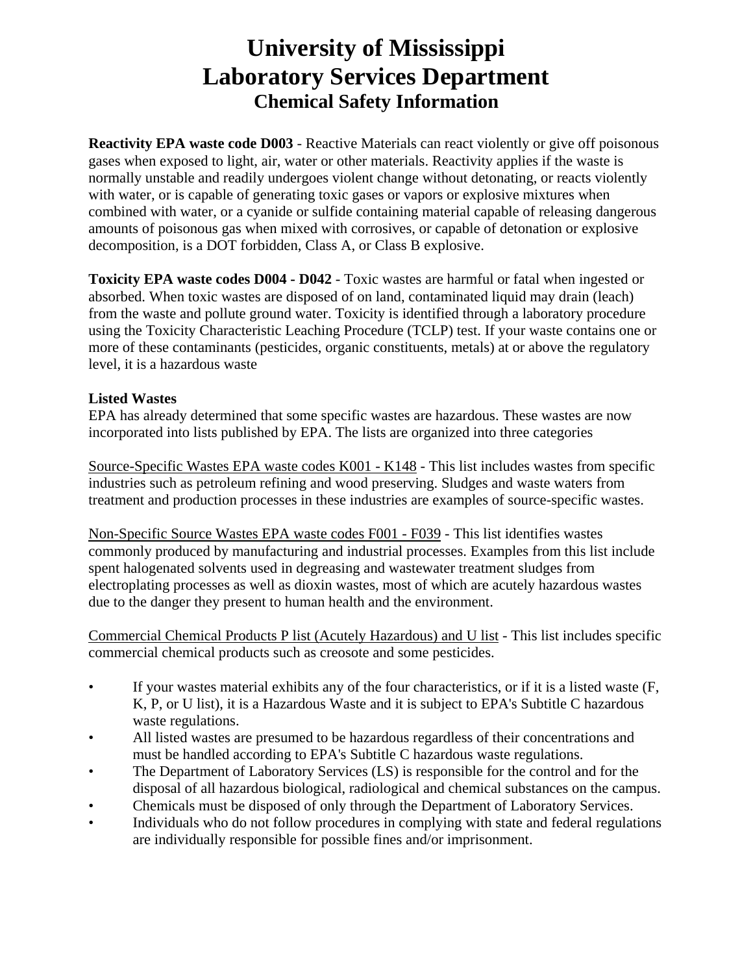**Reactivity EPA waste code D003** - Reactive Materials can react violently or give off poisonous gases when exposed to light, air, water or other materials. Reactivity applies if the waste is normally unstable and readily undergoes violent change without detonating, or reacts violently with water, or is capable of generating toxic gases or vapors or explosive mixtures when combined with water, or a cyanide or sulfide containing material capable of releasing dangerous amounts of poisonous gas when mixed with corrosives, or capable of detonation or explosive decomposition, is a DOT forbidden, Class A, or Class B explosive.

**Toxicity EPA waste codes D004 - D042** - Toxic wastes are harmful or fatal when ingested or absorbed. When toxic wastes are disposed of on land, contaminated liquid may drain (leach) from the waste and pollute ground water. Toxicity is identified through a laboratory procedure using the Toxicity Characteristic Leaching Procedure (TCLP) test. If your waste contains one or more of these contaminants (pesticides, organic constituents, metals) at or above the regulatory level, it is a hazardous waste

#### **Listed Wastes**

EPA has already determined that some specific wastes are hazardous. These wastes are now incorporated into lists published by EPA. The lists are organized into three categories

Source-Specific Wastes EPA waste codes K001 - K148 - This list includes wastes from specific industries such as petroleum refining and wood preserving. Sludges and waste waters from treatment and production processes in these industries are examples of source-specific wastes.

Non-Specific Source Wastes EPA waste codes F001 - F039 - This list identifies wastes commonly produced by manufacturing and industrial processes. Examples from this list include spent halogenated solvents used in degreasing and wastewater treatment sludges from electroplating processes as well as dioxin wastes, most of which are acutely hazardous wastes due to the danger they present to human health and the environment.

Commercial Chemical Products P list (Acutely Hazardous) and U list - This list includes specific commercial chemical products such as creosote and some pesticides.

- If your wastes material exhibits any of the four characteristics, or if it is a listed waste (F, K, P, or U list), it is a Hazardous Waste and it is subject to EPA's Subtitle C hazardous waste regulations.
- All listed wastes are presumed to be hazardous regardless of their concentrations and must be handled according to EPA's Subtitle C hazardous waste regulations.
- The Department of Laboratory Services (LS) is responsible for the control and for the disposal of all hazardous biological, radiological and chemical substances on the campus.
- Chemicals must be disposed of only through the Department of Laboratory Services.
- Individuals who do not follow procedures in complying with state and federal regulations are individually responsible for possible fines and/or imprisonment.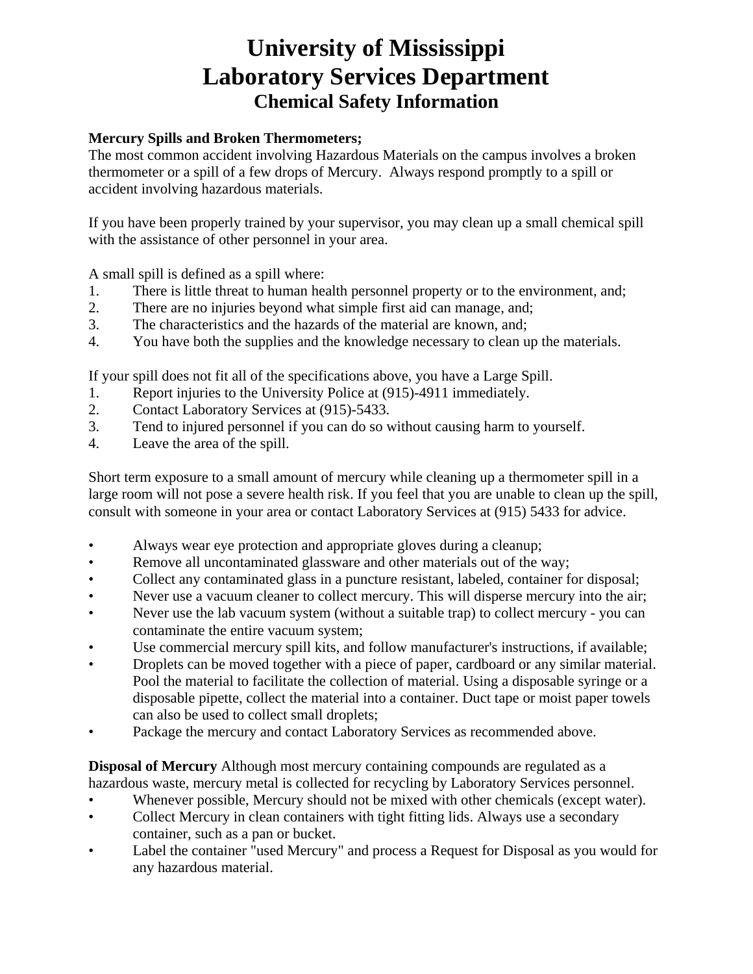### **Mercury Spills and Broken Thermometers;**

The most common accident involving Hazardous Materials on the campus involves a broken thermometer or a spill of a few drops of Mercury. Always respond promptly to a spill or accident involving hazardous materials.

If you have been properly trained by your supervisor, you may clean up a small chemical spill with the assistance of other personnel in your area.

A small spill is defined as a spill where:

- 1. There is little threat to human health personnel property or to the environment, and;
- 2. There are no injuries beyond what simple first aid can manage, and;
- 3. The characteristics and the hazards of the material are known, and;
- 4. You have both the supplies and the knowledge necessary to clean up the materials.

If your spill does not fit all of the specifications above, you have a Large Spill.

- 1. Report injuries to the University Police at (915)-4911 immediately.
- 2. Contact Laboratory Services at (915)-5433.
- 3. Tend to injured personnel if you can do so without causing harm to yourself.
- 4. Leave the area of the spill.

Short term exposure to a small amount of mercury while cleaning up a thermometer spill in a large room will not pose a severe health risk. If you feel that you are unable to clean up the spill, consult with someone in your area or contact Laboratory Services at (915) 5433 for advice.

- Always wear eye protection and appropriate gloves during a cleanup;
- Remove all uncontaminated glassware and other materials out of the way;
- Collect any contaminated glass in a puncture resistant, labeled, container for disposal;
- Never use a vacuum cleaner to collect mercury. This will disperse mercury into the air;
- Never use the lab vacuum system (without a suitable trap) to collect mercury you can contaminate the entire vacuum system;
- Use commercial mercury spill kits, and follow manufacturer's instructions, if available;
- Droplets can be moved together with a piece of paper, cardboard or any similar material. Pool the material to facilitate the collection of material. Using a disposable syringe or a disposable pipette, collect the material into a container. Duct tape or moist paper towels can also be used to collect small droplets;
- Package the mercury and contact Laboratory Services as recommended above.

**Disposal of Mercury** Although most mercury containing compounds are regulated as a hazardous waste, mercury metal is collected for recycling by Laboratory Services personnel.

- Whenever possible, Mercury should not be mixed with other chemicals (except water).
- Collect Mercury in clean containers with tight fitting lids. Always use a secondary container, such as a pan or bucket.
- Label the container "used Mercury" and process a Request for Disposal as you would for any hazardous material.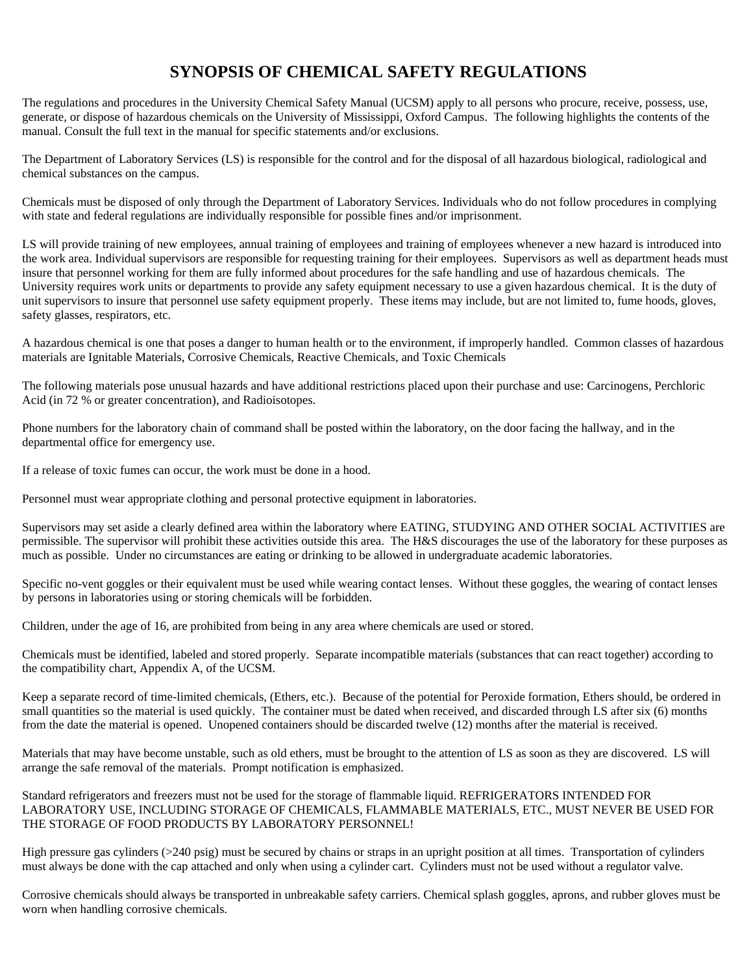### **SYNOPSIS OF CHEMICAL SAFETY REGULATIONS**

The regulations and procedures in the University Chemical Safety Manual (UCSM) apply to all persons who procure, receive, possess, use, generate, or dispose of hazardous chemicals on the University of Mississippi, Oxford Campus. The following highlights the contents of the manual. Consult the full text in the manual for specific statements and/or exclusions.

The Department of Laboratory Services (LS) is responsible for the control and for the disposal of all hazardous biological, radiological and chemical substances on the campus.

Chemicals must be disposed of only through the Department of Laboratory Services. Individuals who do not follow procedures in complying with state and federal regulations are individually responsible for possible fines and/or imprisonment.

LS will provide training of new employees, annual training of employees and training of employees whenever a new hazard is introduced into the work area. Individual supervisors are responsible for requesting training for their employees. Supervisors as well as department heads must insure that personnel working for them are fully informed about procedures for the safe handling and use of hazardous chemicals. The University requires work units or departments to provide any safety equipment necessary to use a given hazardous chemical. It is the duty of unit supervisors to insure that personnel use safety equipment properly. These items may include, but are not limited to, fume hoods, gloves, safety glasses, respirators, etc.

A hazardous chemical is one that poses a danger to human health or to the environment, if improperly handled. Common classes of hazardous materials are Ignitable Materials, Corrosive Chemicals, Reactive Chemicals, and Toxic Chemicals

The following materials pose unusual hazards and have additional restrictions placed upon their purchase and use: Carcinogens, Perchloric Acid (in 72 % or greater concentration), and Radioisotopes.

Phone numbers for the laboratory chain of command shall be posted within the laboratory, on the door facing the hallway, and in the departmental office for emergency use.

If a release of toxic fumes can occur, the work must be done in a hood.

Personnel must wear appropriate clothing and personal protective equipment in laboratories.

Supervisors may set aside a clearly defined area within the laboratory where EATING, STUDYING AND OTHER SOCIAL ACTIVITIES are permissible. The supervisor will prohibit these activities outside this area. The H&S discourages the use of the laboratory for these purposes as much as possible. Under no circumstances are eating or drinking to be allowed in undergraduate academic laboratories.

Specific no-vent goggles or their equivalent must be used while wearing contact lenses. Without these goggles, the wearing of contact lenses by persons in laboratories using or storing chemicals will be forbidden.

Children, under the age of 16, are prohibited from being in any area where chemicals are used or stored.

Chemicals must be identified, labeled and stored properly. Separate incompatible materials (substances that can react together) according to the compatibility chart, Appendix A, of the UCSM.

Keep a separate record of time-limited chemicals, (Ethers, etc.). Because of the potential for Peroxide formation, Ethers should, be ordered in small quantities so the material is used quickly. The container must be dated when received, and discarded through LS after six (6) months from the date the material is opened. Unopened containers should be discarded twelve (12) months after the material is received.

Materials that may have become unstable, such as old ethers, must be brought to the attention of LS as soon as they are discovered. LS will arrange the safe removal of the materials. Prompt notification is emphasized.

Standard refrigerators and freezers must not be used for the storage of flammable liquid. REFRIGERATORS INTENDED FOR LABORATORY USE, INCLUDING STORAGE OF CHEMICALS, FLAMMABLE MATERIALS, ETC., MUST NEVER BE USED FOR THE STORAGE OF FOOD PRODUCTS BY LABORATORY PERSONNEL!

High pressure gas cylinders (>240 psig) must be secured by chains or straps in an upright position at all times. Transportation of cylinders must always be done with the cap attached and only when using a cylinder cart. Cylinders must not be used without a regulator valve.

Corrosive chemicals should always be transported in unbreakable safety carriers. Chemical splash goggles, aprons, and rubber gloves must be worn when handling corrosive chemicals.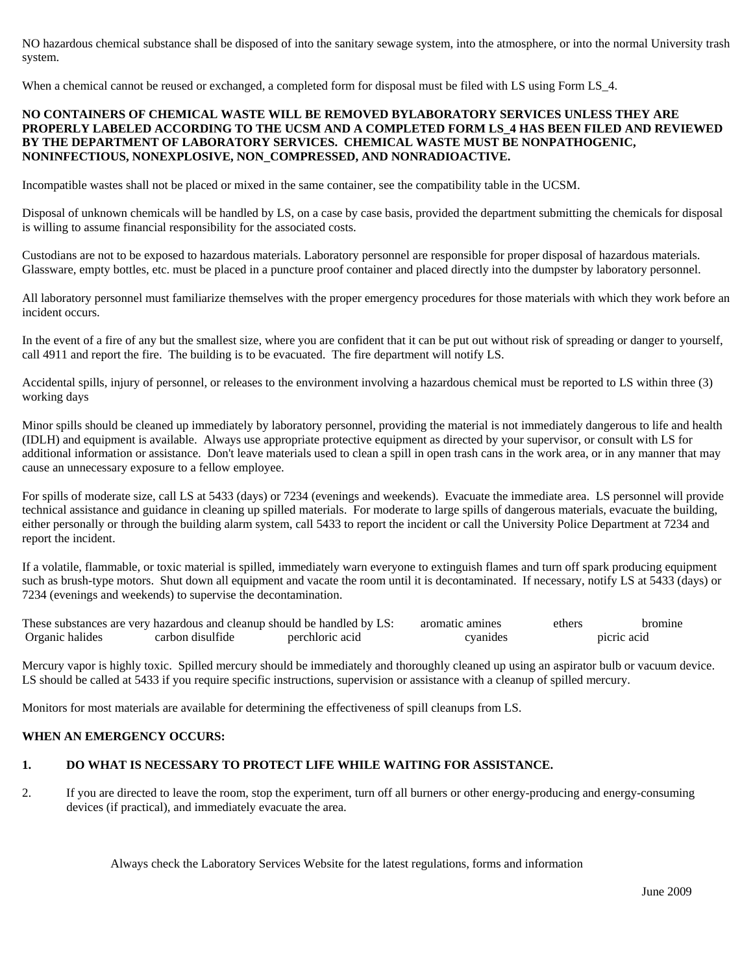NO hazardous chemical substance shall be disposed of into the sanitary sewage system, into the atmosphere, or into the normal University trash system.

When a chemical cannot be reused or exchanged, a completed form for disposal must be filed with LS using Form LS\_4.

#### **NO CONTAINERS OF CHEMICAL WASTE WILL BE REMOVED BYLABORATORY SERVICES UNLESS THEY ARE PROPERLY LABELED ACCORDING TO THE UCSM AND A COMPLETED FORM LS\_4 HAS BEEN FILED AND REVIEWED BY THE DEPARTMENT OF LABORATORY SERVICES. CHEMICAL WASTE MUST BE NONPATHOGENIC, NONINFECTIOUS, NONEXPLOSIVE, NON\_COMPRESSED, AND NONRADIOACTIVE.**

Incompatible wastes shall not be placed or mixed in the same container, see the compatibility table in the UCSM.

Disposal of unknown chemicals will be handled by LS, on a case by case basis, provided the department submitting the chemicals for disposal is willing to assume financial responsibility for the associated costs.

Custodians are not to be exposed to hazardous materials. Laboratory personnel are responsible for proper disposal of hazardous materials. Glassware, empty bottles, etc. must be placed in a puncture proof container and placed directly into the dumpster by laboratory personnel.

All laboratory personnel must familiarize themselves with the proper emergency procedures for those materials with which they work before an incident occurs.

In the event of a fire of any but the smallest size, where you are confident that it can be put out without risk of spreading or danger to yourself, call 4911 and report the fire. The building is to be evacuated. The fire department will notify LS.

Accidental spills, injury of personnel, or releases to the environment involving a hazardous chemical must be reported to LS within three (3) working days

Minor spills should be cleaned up immediately by laboratory personnel, providing the material is not immediately dangerous to life and health (IDLH) and equipment is available. Always use appropriate protective equipment as directed by your supervisor, or consult with LS for additional information or assistance. Don't leave materials used to clean a spill in open trash cans in the work area, or in any manner that may cause an unnecessary exposure to a fellow employee.

For spills of moderate size, call LS at 5433 (days) or 7234 (evenings and weekends). Evacuate the immediate area. LS personnel will provide technical assistance and guidance in cleaning up spilled materials. For moderate to large spills of dangerous materials, evacuate the building, either personally or through the building alarm system, call 5433 to report the incident or call the University Police Department at 7234 and report the incident.

If a volatile, flammable, or toxic material is spilled, immediately warn everyone to extinguish flames and turn off spark producing equipment such as brush-type motors. Shut down all equipment and vacate the room until it is decontaminated. If necessary, notify LS at 5433 (days) or 7234 (evenings and weekends) to supervise the decontamination.

| These substances are very hazardous and cleanup should be handled by LS: |                  |                 | aromatic amines | ether :     |  |
|--------------------------------------------------------------------------|------------------|-----------------|-----------------|-------------|--|
| Organic halides                                                          | earbon disulfide | nerchloric acid |                 | nierie aeid |  |

Mercury vapor is highly toxic. Spilled mercury should be immediately and thoroughly cleaned up using an aspirator bulb or vacuum device. LS should be called at 5433 if you require specific instructions, supervision or assistance with a cleanup of spilled mercury.

Monitors for most materials are available for determining the effectiveness of spill cleanups from LS.

#### **WHEN AN EMERGENCY OCCURS:**

#### **1. DO WHAT IS NECESSARY TO PROTECT LIFE WHILE WAITING FOR ASSISTANCE.**

2. If you are directed to leave the room, stop the experiment, turn off all burners or other energy-producing and energy-consuming devices (if practical), and immediately evacuate the area.

Always check the Laboratory Services Website for the latest regulations, forms and information